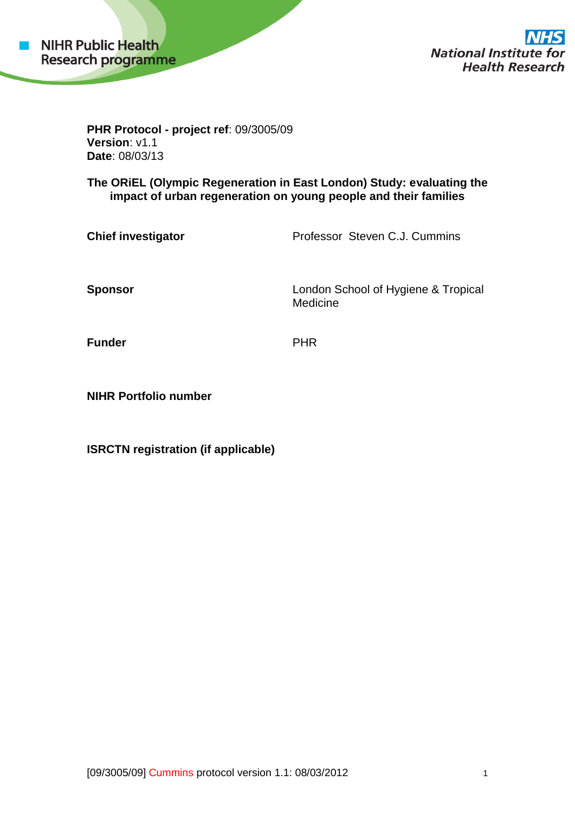

**National Institute 1** or: **Health Research** 

**PHR Protocol - project ref**: 09/3005/09 **Version**: v1.1 **Date**: 08/03/13

**The ORiEL (Olympic Regeneration in East London) Study: evaluating the impact of urban regeneration on young people and their families**

**Chief investigator Professor Steven C.J. Cummins** 

**Sponsor Sponsor London School of Hygiene & Tropical** Medicine

**Funder** PHR

**NIHR Portfolio number**

**ISRCTN registration (if applicable)**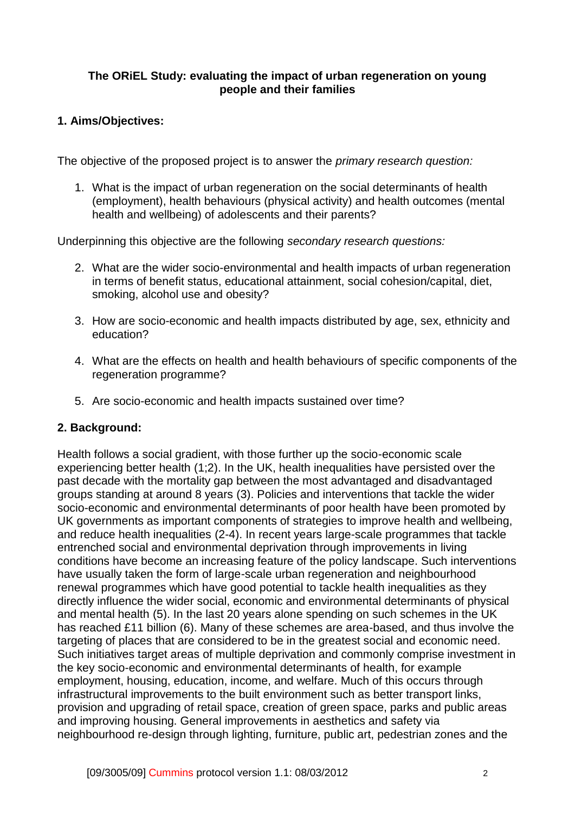### **The ORiEL Study: evaluating the impact of urban regeneration on young people and their families**

# **1. Aims/Objectives:**

The objective of the proposed project is to answer the *primary research question:*

1. What is the impact of urban regeneration on the social determinants of health (employment), health behaviours (physical activity) and health outcomes (mental health and wellbeing) of adolescents and their parents?

Underpinning this objective are the following *secondary research questions:*

- 2. What are the wider socio-environmental and health impacts of urban regeneration in terms of benefit status, educational attainment, social cohesion/capital, diet, smoking, alcohol use and obesity?
- 3. How are socio-economic and health impacts distributed by age, sex, ethnicity and education?
- 4. What are the effects on health and health behaviours of specific components of the regeneration programme?
- 5. Are socio-economic and health impacts sustained over time?

# **2. Background:**

Health follows a social gradient, with those further up the socio-economic scale experiencing better health (1;2). In the UK, health inequalities have persisted over the past decade with the mortality gap between the most advantaged and disadvantaged groups standing at around 8 years (3). Policies and interventions that tackle the wider socio-economic and environmental determinants of poor health have been promoted by UK governments as important components of strategies to improve health and wellbeing, and reduce health inequalities (2-4). In recent years large-scale programmes that tackle entrenched social and environmental deprivation through improvements in living conditions have become an increasing feature of the policy landscape. Such interventions have usually taken the form of large-scale urban regeneration and neighbourhood renewal programmes which have good potential to tackle health inequalities as they directly influence the wider social, economic and environmental determinants of physical and mental health (5). In the last 20 years alone spending on such schemes in the UK has reached £11 billion (6). Many of these schemes are area-based, and thus involve the targeting of places that are considered to be in the greatest social and economic need. Such initiatives target areas of multiple deprivation and commonly comprise investment in the key socio-economic and environmental determinants of health, for example employment, housing, education, income, and welfare. Much of this occurs through infrastructural improvements to the built environment such as better transport links, provision and upgrading of retail space, creation of green space, parks and public areas and improving housing. General improvements in aesthetics and safety via neighbourhood re-design through lighting, furniture, public art, pedestrian zones and the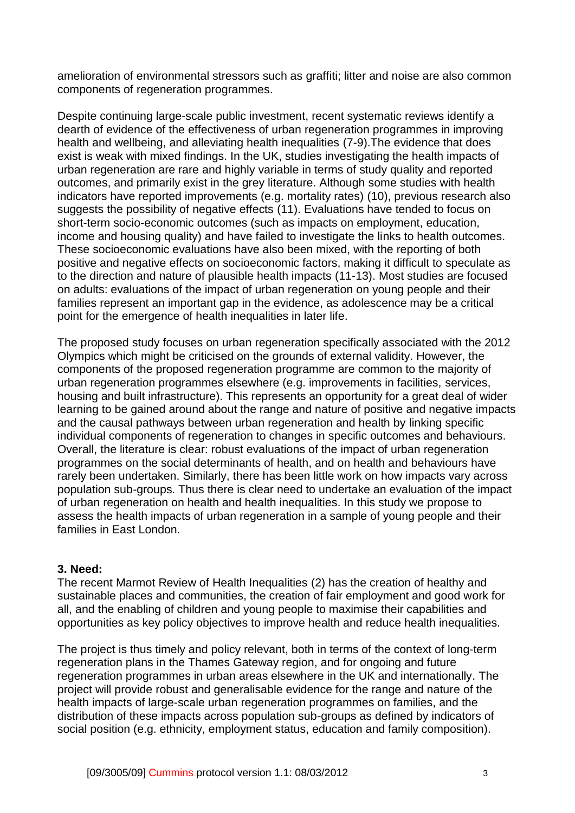amelioration of environmental stressors such as graffiti; litter and noise are also common components of regeneration programmes.

Despite continuing large-scale public investment, recent systematic reviews identify a dearth of evidence of the effectiveness of urban regeneration programmes in improving health and wellbeing, and alleviating health inequalities (7-9).The evidence that does exist is weak with mixed findings. In the UK, studies investigating the health impacts of urban regeneration are rare and highly variable in terms of study quality and reported outcomes, and primarily exist in the grey literature. Although some studies with health indicators have reported improvements (e.g. mortality rates) (10), previous research also suggests the possibility of negative effects (11). Evaluations have tended to focus on short-term socio-economic outcomes (such as impacts on employment, education, income and housing quality) and have failed to investigate the links to health outcomes. These socioeconomic evaluations have also been mixed, with the reporting of both positive and negative effects on socioeconomic factors, making it difficult to speculate as to the direction and nature of plausible health impacts (11-13). Most studies are focused on adults: evaluations of the impact of urban regeneration on young people and their families represent an important gap in the evidence, as adolescence may be a critical point for the emergence of health inequalities in later life.

The proposed study focuses on urban regeneration specifically associated with the 2012 Olympics which might be criticised on the grounds of external validity. However, the components of the proposed regeneration programme are common to the majority of urban regeneration programmes elsewhere (e.g. improvements in facilities, services, housing and built infrastructure). This represents an opportunity for a great deal of wider learning to be gained around about the range and nature of positive and negative impacts and the causal pathways between urban regeneration and health by linking specific individual components of regeneration to changes in specific outcomes and behaviours. Overall, the literature is clear: robust evaluations of the impact of urban regeneration programmes on the social determinants of health, and on health and behaviours have rarely been undertaken. Similarly, there has been little work on how impacts vary across population sub-groups. Thus there is clear need to undertake an evaluation of the impact of urban regeneration on health and health inequalities. In this study we propose to assess the health impacts of urban regeneration in a sample of young people and their families in East London.

### **3. Need:**

The recent Marmot Review of Health Inequalities (2) has the creation of healthy and sustainable places and communities, the creation of fair employment and good work for all, and the enabling of children and young people to maximise their capabilities and opportunities as key policy objectives to improve health and reduce health inequalities.

The project is thus timely and policy relevant, both in terms of the context of long-term regeneration plans in the Thames Gateway region, and for ongoing and future regeneration programmes in urban areas elsewhere in the UK and internationally. The project will provide robust and generalisable evidence for the range and nature of the health impacts of large-scale urban regeneration programmes on families, and the distribution of these impacts across population sub-groups as defined by indicators of social position (e.g. ethnicity, employment status, education and family composition).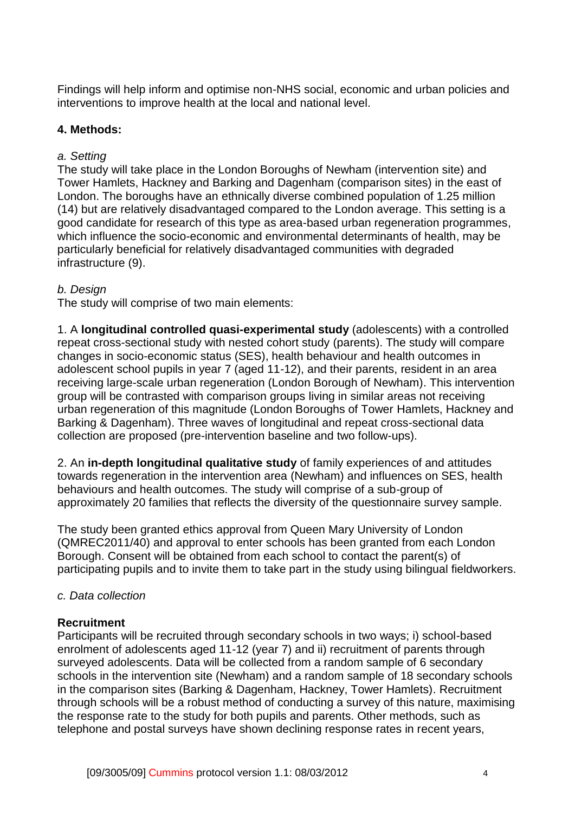Findings will help inform and optimise non-NHS social, economic and urban policies and interventions to improve health at the local and national level.

## **4. Methods:**

## *a. Setting*

The study will take place in the London Boroughs of Newham (intervention site) and Tower Hamlets, Hackney and Barking and Dagenham (comparison sites) in the east of London. The boroughs have an ethnically diverse combined population of 1.25 million (14) but are relatively disadvantaged compared to the London average. This setting is a good candidate for research of this type as area-based urban regeneration programmes, which influence the socio-economic and environmental determinants of health, may be particularly beneficial for relatively disadvantaged communities with degraded infrastructure (9).

## *b. Design*

The study will comprise of two main elements:

1. A **longitudinal controlled quasi-experimental study** (adolescents) with a controlled repeat cross-sectional study with nested cohort study (parents). The study will compare changes in socio-economic status (SES), health behaviour and health outcomes in adolescent school pupils in year 7 (aged 11-12), and their parents, resident in an area receiving large-scale urban regeneration (London Borough of Newham). This intervention group will be contrasted with comparison groups living in similar areas not receiving urban regeneration of this magnitude (London Boroughs of Tower Hamlets, Hackney and Barking & Dagenham). Three waves of longitudinal and repeat cross-sectional data collection are proposed (pre-intervention baseline and two follow-ups).

2. An **in-depth longitudinal qualitative study** of family experiences of and attitudes towards regeneration in the intervention area (Newham) and influences on SES, health behaviours and health outcomes. The study will comprise of a sub-group of approximately 20 families that reflects the diversity of the questionnaire survey sample.

The study been granted ethics approval from Queen Mary University of London (QMREC2011/40) and approval to enter schools has been granted from each London Borough. Consent will be obtained from each school to contact the parent(s) of participating pupils and to invite them to take part in the study using bilingual fieldworkers.

### *c. Data collection*

### **Recruitment**

Participants will be recruited through secondary schools in two ways; i) school-based enrolment of adolescents aged 11-12 (year 7) and ii) recruitment of parents through surveyed adolescents. Data will be collected from a random sample of 6 secondary schools in the intervention site (Newham) and a random sample of 18 secondary schools in the comparison sites (Barking & Dagenham, Hackney, Tower Hamlets). Recruitment through schools will be a robust method of conducting a survey of this nature, maximising the response rate to the study for both pupils and parents. Other methods, such as telephone and postal surveys have shown declining response rates in recent years,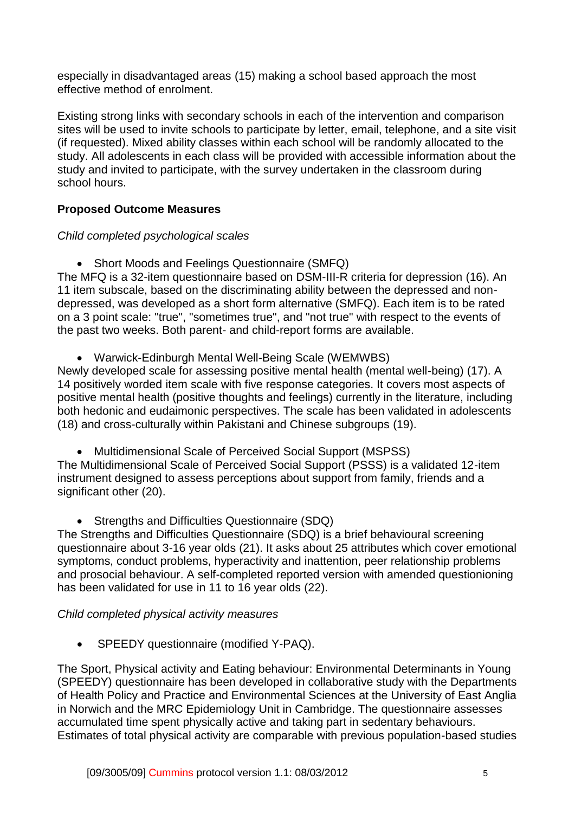especially in disadvantaged areas (15) making a school based approach the most effective method of enrolment.

Existing strong links with secondary schools in each of the intervention and comparison sites will be used to invite schools to participate by letter, email, telephone, and a site visit (if requested). Mixed ability classes within each school will be randomly allocated to the study. All adolescents in each class will be provided with accessible information about the study and invited to participate, with the survey undertaken in the classroom during school hours.

# **Proposed Outcome Measures**

# *Child completed psychological scales*

• Short Moods and Feelings Questionnaire (SMFQ)

The MFQ is a 32-item questionnaire based on DSM-III-R criteria for depression (16). An 11 item subscale, based on the discriminating ability between the depressed and nondepressed, was developed as a short form alternative (SMFQ). Each item is to be rated on a 3 point scale: "true", "sometimes true", and "not true" with respect to the events of the past two weeks. Both parent- and child-report forms are available.

Warwick-Edinburgh Mental Well-Being Scale (WEMWBS)

Newly developed scale for assessing positive mental health (mental well-being) (17). A 14 positively worded item scale with five response categories. It covers most aspects of positive mental health (positive thoughts and feelings) currently in the literature, including both hedonic and eudaimonic perspectives. The scale has been validated in adolescents (18) and cross-culturally within Pakistani and Chinese subgroups (19).

Multidimensional Scale of Perceived Social Support (MSPSS)

The Multidimensional Scale of Perceived Social Support (PSSS) is a validated 12-item instrument designed to assess perceptions about support from family, friends and a significant other (20).

Strengths and Difficulties Questionnaire (SDQ)

The Strengths and Difficulties Questionnaire (SDQ) is a brief behavioural screening questionnaire about 3-16 year olds (21). It asks about 25 attributes which cover emotional symptoms, conduct problems, hyperactivity and inattention, peer relationship problems and prosocial behaviour. A self-completed reported version with amended questionioning has been validated for use in 11 to 16 year olds (22).

### *Child completed physical activity measures*

• SPEEDY questionnaire (modified Y-PAQ).

The Sport, Physical activity and Eating behaviour: Environmental Determinants in Young (SPEEDY) questionnaire has been developed in collaborative study with the [Departments](http://www1.uea.ac.uk/cm/home/schools/foh/med/research)  [of Health Policy and Practice](http://www1.uea.ac.uk/cm/home/schools/foh/med/research) and [Environmental Sciences](http://www1.uea.ac.uk/cm/home/schools/sci/env) at the University of East Anglia in Norwich and the MRC Epidemiology Unit in Cambridge. The questionnaire assesses accumulated time spent physically active and taking part in sedentary behaviours. Estimates of total physical activity are comparable with previous population-based studies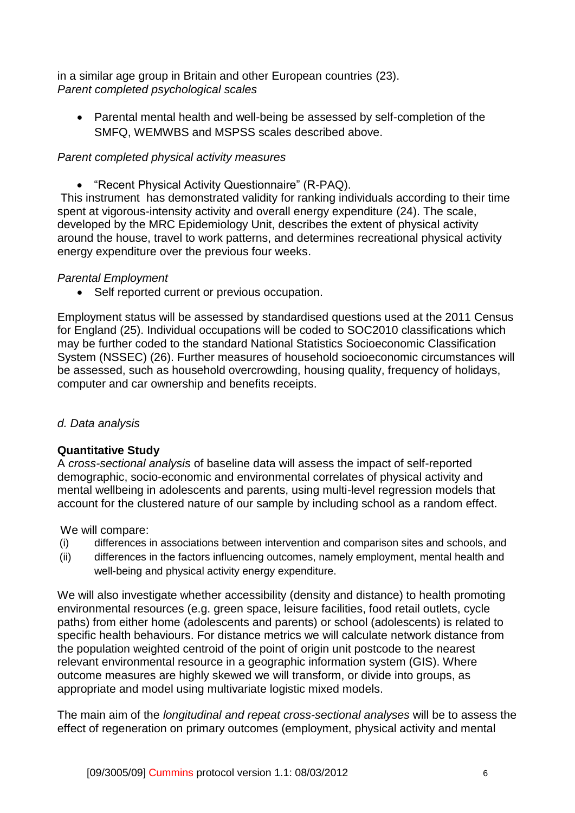in a similar age group in Britain and other European countries (23). *Parent completed psychological scales*

 Parental mental health and well-being be assessed by self-completion of the SMFQ, WEMWBS and MSPSS scales described above.

# *Parent completed physical activity measures*

"Recent Physical Activity Questionnaire" (R-PAQ).

This instrument has demonstrated validity for ranking individuals according to their time spent at vigorous-intensity activity and overall energy expenditure (24). The scale, developed by the MRC Epidemiology Unit, describes the extent of physical activity around the house, travel to work patterns, and determines recreational physical activity energy expenditure over the previous four weeks.

## *Parental Employment*

• Self reported current or previous occupation.

Employment status will be assessed by standardised questions used at the 2011 Census for England (25). Individual occupations will be coded to SOC2010 classifications which may be further coded to the standard National Statistics Socioeconomic Classification System (NSSEC) (26). Further measures of household socioeconomic circumstances will be assessed, such as household overcrowding, housing quality, frequency of holidays, computer and car ownership and benefits receipts.

# *d. Data analysis*

### **Quantitative Study**

A *cross-sectional analysis* of baseline data will assess the impact of self-reported demographic, socio-economic and environmental correlates of physical activity and mental wellbeing in adolescents and parents, using multi-level regression models that account for the clustered nature of our sample by including school as a random effect.

We will compare:

- (i) differences in associations between intervention and comparison sites and schools, and
- (ii) differences in the factors influencing outcomes, namely employment, mental health and well-being and physical activity energy expenditure.

We will also investigate whether accessibility (density and distance) to health promoting environmental resources (e.g. green space, leisure facilities, food retail outlets, cycle paths) from either home (adolescents and parents) or school (adolescents) is related to specific health behaviours. For distance metrics we will calculate network distance from the population weighted centroid of the point of origin unit postcode to the nearest relevant environmental resource in a geographic information system (GIS). Where outcome measures are highly skewed we will transform, or divide into groups, as appropriate and model using multivariate logistic mixed models.

The main aim of the *longitudinal and repeat cross-sectional analyses* will be to assess the effect of regeneration on primary outcomes (employment, physical activity and mental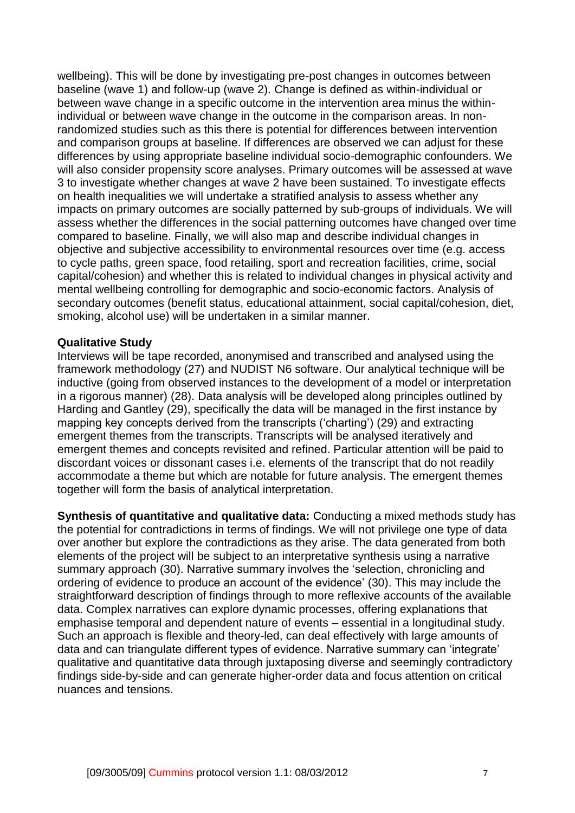wellbeing). This will be done by investigating pre-post changes in outcomes between baseline (wave 1) and follow-up (wave 2). Change is defined as within-individual or between wave change in a specific outcome in the intervention area minus the withinindividual or between wave change in the outcome in the comparison areas. In nonrandomized studies such as this there is potential for differences between intervention and comparison groups at baseline. If differences are observed we can adjust for these differences by using appropriate baseline individual socio-demographic confounders. We will also consider propensity score analyses. Primary outcomes will be assessed at wave 3 to investigate whether changes at wave 2 have been sustained. To investigate effects on health inequalities we will undertake a stratified analysis to assess whether any impacts on primary outcomes are socially patterned by sub-groups of individuals. We will assess whether the differences in the social patterning outcomes have changed over time compared to baseline. Finally, we will also map and describe individual changes in objective and subjective accessibility to environmental resources over time (e.g. access to cycle paths, green space, food retailing, sport and recreation facilities, crime, social capital/cohesion) and whether this is related to individual changes in physical activity and mental wellbeing controlling for demographic and socio-economic factors. Analysis of secondary outcomes (benefit status, educational attainment, social capital/cohesion, diet, smoking, alcohol use) will be undertaken in a similar manner.

#### **Qualitative Study**

Interviews will be tape recorded, anonymised and transcribed and analysed using the framework methodology (27) and NUDIST N6 software. Our analytical technique will be inductive (going from observed instances to the development of a model or interpretation in a rigorous manner) (28). Data analysis will be developed along principles outlined by Harding and Gantley (29), specifically the data will be managed in the first instance by mapping key concepts derived from the transcripts ('charting') (29) and extracting emergent themes from the transcripts. Transcripts will be analysed iteratively and emergent themes and concepts revisited and refined. Particular attention will be paid to discordant voices or dissonant cases i.e. elements of the transcript that do not readily accommodate a theme but which are notable for future analysis. The emergent themes together will form the basis of analytical interpretation.

**Synthesis of quantitative and qualitative data:** Conducting a mixed methods study has the potential for contradictions in terms of findings. We will not privilege one type of data over another but explore the contradictions as they arise. The data generated from both elements of the project will be subject to an interpretative synthesis using a narrative summary approach (30). Narrative summary involves the 'selection, chronicling and ordering of evidence to produce an account of the evidence' (30). This may include the straightforward description of findings through to more reflexive accounts of the available data. Complex narratives can explore dynamic processes, offering explanations that emphasise temporal and dependent nature of events – essential in a longitudinal study. Such an approach is flexible and theory-led, can deal effectively with large amounts of data and can triangulate different types of evidence. Narrative summary can 'integrate' qualitative and quantitative data through juxtaposing diverse and seemingly contradictory findings side-by-side and can generate higher-order data and focus attention on critical nuances and tensions.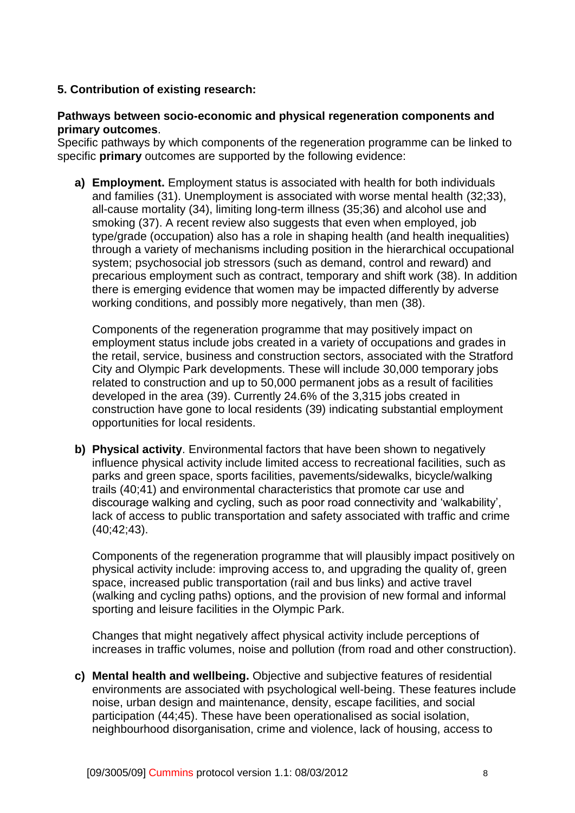## **5. Contribution of existing research:**

#### **Pathways between socio-economic and physical regeneration components and primary outcomes**.

Specific pathways by which components of the regeneration programme can be linked to specific **primary** outcomes are supported by the following evidence:

**a) Employment.** Employment status is associated with health for both individuals and families (31). Unemployment is associated with worse mental health (32;33), all-cause mortality (34), limiting long-term illness (35;36) and alcohol use and smoking (37). A recent review also suggests that even when employed, job type/grade (occupation) also has a role in shaping health (and health inequalities) through a variety of mechanisms including position in the hierarchical occupational system; psychosocial job stressors (such as demand, control and reward) and precarious employment such as contract, temporary and shift work (38). In addition there is emerging evidence that women may be impacted differently by adverse working conditions, and possibly more negatively, than men (38).

Components of the regeneration programme that may positively impact on employment status include jobs created in a variety of occupations and grades in the retail, service, business and construction sectors, associated with the Stratford City and Olympic Park developments. These will include 30,000 temporary jobs related to construction and up to 50,000 permanent jobs as a result of facilities developed in the area (39). Currently 24.6% of the 3,315 jobs created in construction have gone to local residents (39) indicating substantial employment opportunities for local residents.

**b) Physical activity**. Environmental factors that have been shown to negatively influence physical activity include limited access to recreational facilities, such as parks and green space, sports facilities, pavements/sidewalks, bicycle/walking trails (40;41) and environmental characteristics that promote car use and discourage walking and cycling, such as poor road connectivity and 'walkability', lack of access to public transportation and safety associated with traffic and crime (40;42;43).

Components of the regeneration programme that will plausibly impact positively on physical activity include: improving access to, and upgrading the quality of, green space, increased public transportation (rail and bus links) and active travel (walking and cycling paths) options, and the provision of new formal and informal sporting and leisure facilities in the Olympic Park.

Changes that might negatively affect physical activity include perceptions of increases in traffic volumes, noise and pollution (from road and other construction).

**c) Mental health and wellbeing.** Objective and subjective features of residential environments are associated with psychological well-being. These features include noise, urban design and maintenance, density, escape facilities, and social participation (44;45). These have been operationalised as social isolation, neighbourhood disorganisation, crime and violence, lack of housing, access to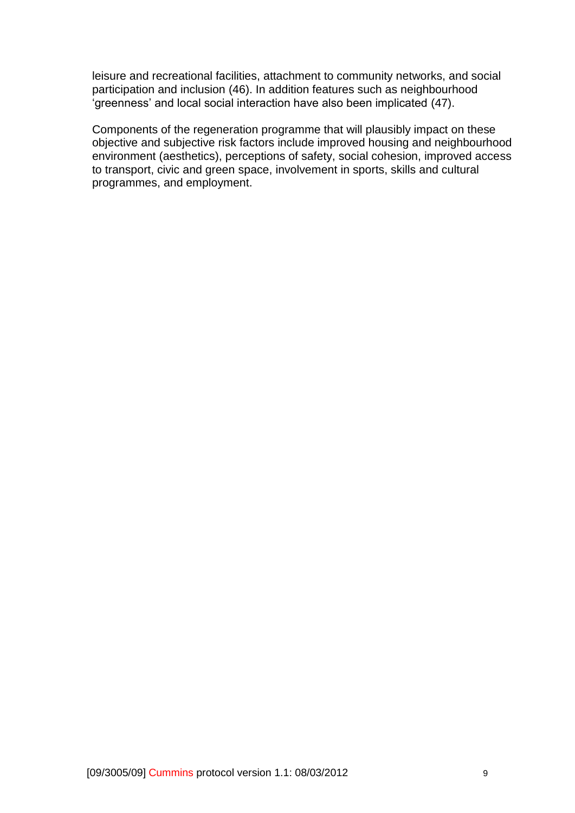leisure and recreational facilities, attachment to community networks, and social participation and inclusion (46). In addition features such as neighbourhood 'greenness' and local social interaction have also been implicated (47).

Components of the regeneration programme that will plausibly impact on these objective and subjective risk factors include improved housing and neighbourhood environment (aesthetics), perceptions of safety, social cohesion, improved access to transport, civic and green space, involvement in sports, skills and cultural programmes, and employment.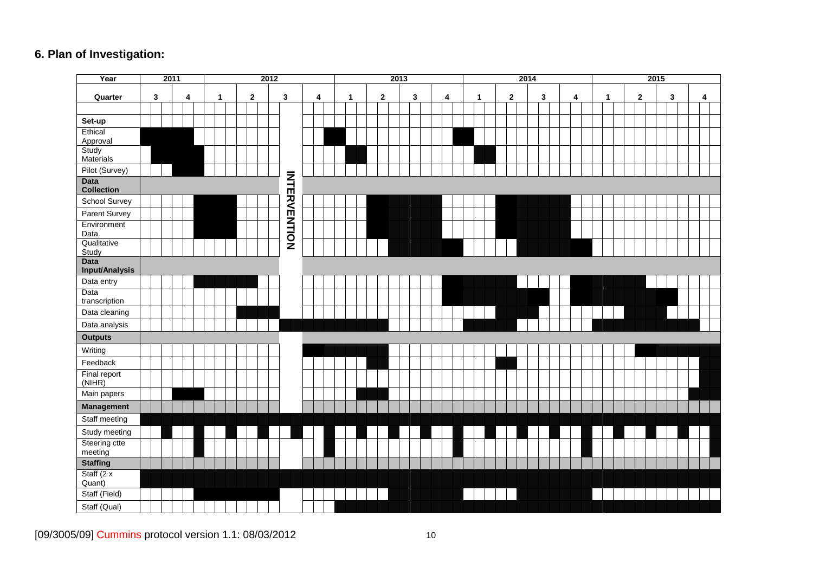# **6 . Plan of Investigation :**

| Year                             | 2011   |  |  |  | 2012 |  |              |  |   |  |                     |  |  |  | 2013         |  |              |  |  |   |  | 2014 |  |   |  |  |             |  |  |   | 2015 |   |  |              |  |  |              |  |  |   |  |   |  |  |  |
|----------------------------------|--------|--|--|--|------|--|--------------|--|---|--|---------------------|--|--|--|--------------|--|--------------|--|--|---|--|------|--|---|--|--|-------------|--|--|---|------|---|--|--------------|--|--|--------------|--|--|---|--|---|--|--|--|
| Quarter                          | 3<br>4 |  |  |  | 1    |  | $\mathbf{2}$ |  | 3 |  | 4                   |  |  |  | $\mathbf{1}$ |  | $\mathbf{2}$ |  |  | 3 |  | 4    |  | 1 |  |  | $\mathbf 2$ |  |  | 3 |      | 4 |  | $\mathbf{1}$ |  |  | $\mathbf{2}$ |  |  | 3 |  | 4 |  |  |  |
|                                  |        |  |  |  |      |  |              |  |   |  |                     |  |  |  |              |  |              |  |  |   |  |      |  |   |  |  |             |  |  |   |      |   |  |              |  |  |              |  |  |   |  |   |  |  |  |
| Set-up                           |        |  |  |  |      |  |              |  |   |  |                     |  |  |  |              |  |              |  |  |   |  |      |  |   |  |  |             |  |  |   |      |   |  |              |  |  |              |  |  |   |  |   |  |  |  |
| Ethical                          |        |  |  |  |      |  |              |  |   |  |                     |  |  |  |              |  |              |  |  |   |  |      |  |   |  |  |             |  |  |   |      |   |  |              |  |  |              |  |  |   |  |   |  |  |  |
| Approval<br>Study                |        |  |  |  |      |  |              |  |   |  |                     |  |  |  |              |  |              |  |  |   |  |      |  |   |  |  |             |  |  |   |      |   |  |              |  |  |              |  |  |   |  |   |  |  |  |
| Materials                        |        |  |  |  |      |  |              |  |   |  |                     |  |  |  |              |  |              |  |  |   |  |      |  |   |  |  |             |  |  |   |      |   |  |              |  |  |              |  |  |   |  |   |  |  |  |
| Pilot (Survey)                   |        |  |  |  |      |  |              |  |   |  |                     |  |  |  |              |  |              |  |  |   |  |      |  |   |  |  |             |  |  |   |      |   |  |              |  |  |              |  |  |   |  |   |  |  |  |
| <b>Data</b><br><b>Collection</b> |        |  |  |  |      |  |              |  |   |  | <b>INHERVENTION</b> |  |  |  |              |  |              |  |  |   |  |      |  |   |  |  |             |  |  |   |      |   |  |              |  |  |              |  |  |   |  |   |  |  |  |
| School Survey                    |        |  |  |  |      |  |              |  |   |  |                     |  |  |  |              |  |              |  |  |   |  |      |  |   |  |  |             |  |  |   |      |   |  |              |  |  |              |  |  |   |  |   |  |  |  |
| Parent Survey                    |        |  |  |  |      |  |              |  |   |  |                     |  |  |  |              |  |              |  |  |   |  |      |  |   |  |  |             |  |  |   |      |   |  |              |  |  |              |  |  |   |  |   |  |  |  |
| Environment                      |        |  |  |  |      |  |              |  |   |  |                     |  |  |  |              |  |              |  |  |   |  |      |  |   |  |  |             |  |  |   |      |   |  |              |  |  |              |  |  |   |  |   |  |  |  |
| Data                             |        |  |  |  |      |  |              |  |   |  |                     |  |  |  |              |  |              |  |  |   |  |      |  |   |  |  |             |  |  |   |      |   |  |              |  |  |              |  |  |   |  |   |  |  |  |
| Qualitative<br>Study             |        |  |  |  |      |  |              |  |   |  |                     |  |  |  |              |  |              |  |  |   |  |      |  |   |  |  |             |  |  |   |      |   |  |              |  |  |              |  |  |   |  |   |  |  |  |
| <b>Data</b>                      |        |  |  |  |      |  |              |  |   |  |                     |  |  |  |              |  |              |  |  |   |  |      |  |   |  |  |             |  |  |   |      |   |  |              |  |  |              |  |  |   |  |   |  |  |  |
| Input/Analysis                   |        |  |  |  |      |  |              |  |   |  |                     |  |  |  |              |  |              |  |  |   |  |      |  |   |  |  |             |  |  |   |      |   |  |              |  |  |              |  |  |   |  |   |  |  |  |
| Data entry                       |        |  |  |  |      |  |              |  |   |  |                     |  |  |  |              |  |              |  |  |   |  |      |  |   |  |  |             |  |  |   |      |   |  |              |  |  |              |  |  |   |  |   |  |  |  |
| Data<br>transcription            |        |  |  |  |      |  |              |  |   |  |                     |  |  |  |              |  |              |  |  |   |  |      |  |   |  |  |             |  |  |   |      |   |  |              |  |  |              |  |  |   |  |   |  |  |  |
| Data cleaning                    |        |  |  |  |      |  |              |  |   |  |                     |  |  |  |              |  |              |  |  |   |  |      |  |   |  |  |             |  |  |   |      |   |  |              |  |  |              |  |  |   |  |   |  |  |  |
| Data analysis                    |        |  |  |  |      |  |              |  |   |  |                     |  |  |  |              |  |              |  |  |   |  |      |  |   |  |  |             |  |  |   |      |   |  |              |  |  |              |  |  |   |  |   |  |  |  |
| <b>Outputs</b>                   |        |  |  |  |      |  |              |  |   |  |                     |  |  |  |              |  |              |  |  |   |  |      |  |   |  |  |             |  |  |   |      |   |  |              |  |  |              |  |  |   |  |   |  |  |  |
| Writing                          |        |  |  |  |      |  |              |  |   |  |                     |  |  |  |              |  |              |  |  |   |  |      |  |   |  |  |             |  |  |   |      |   |  |              |  |  |              |  |  |   |  |   |  |  |  |
| Feedback                         |        |  |  |  |      |  |              |  |   |  |                     |  |  |  |              |  |              |  |  |   |  |      |  |   |  |  |             |  |  |   |      |   |  |              |  |  |              |  |  |   |  |   |  |  |  |
| Final report<br>(NIHR)           |        |  |  |  |      |  |              |  |   |  |                     |  |  |  |              |  |              |  |  |   |  |      |  |   |  |  |             |  |  |   |      |   |  |              |  |  |              |  |  |   |  |   |  |  |  |
| Main papers                      |        |  |  |  |      |  |              |  |   |  |                     |  |  |  |              |  |              |  |  |   |  |      |  |   |  |  |             |  |  |   |      |   |  |              |  |  |              |  |  |   |  |   |  |  |  |
| Management                       |        |  |  |  |      |  |              |  |   |  |                     |  |  |  |              |  |              |  |  |   |  |      |  |   |  |  |             |  |  |   |      |   |  |              |  |  |              |  |  |   |  |   |  |  |  |
| Staff meeting                    |        |  |  |  |      |  |              |  |   |  |                     |  |  |  |              |  |              |  |  |   |  |      |  |   |  |  |             |  |  |   |      |   |  |              |  |  |              |  |  |   |  |   |  |  |  |
| Study meeting                    |        |  |  |  |      |  |              |  |   |  |                     |  |  |  |              |  |              |  |  |   |  |      |  |   |  |  |             |  |  |   |      |   |  |              |  |  |              |  |  |   |  |   |  |  |  |
| Steering ctte<br>meeting         |        |  |  |  |      |  |              |  |   |  |                     |  |  |  |              |  |              |  |  |   |  |      |  |   |  |  |             |  |  |   |      |   |  |              |  |  |              |  |  |   |  |   |  |  |  |
| <b>Staffing</b>                  |        |  |  |  |      |  |              |  |   |  |                     |  |  |  |              |  |              |  |  |   |  |      |  |   |  |  |             |  |  |   |      |   |  |              |  |  |              |  |  |   |  |   |  |  |  |
| Staff $(2 x)$<br>Quant)          |        |  |  |  |      |  |              |  |   |  |                     |  |  |  |              |  |              |  |  |   |  |      |  |   |  |  |             |  |  |   |      |   |  |              |  |  |              |  |  |   |  |   |  |  |  |
| Staff (Field)                    |        |  |  |  |      |  |              |  |   |  |                     |  |  |  |              |  |              |  |  |   |  |      |  |   |  |  |             |  |  |   |      |   |  |              |  |  |              |  |  |   |  |   |  |  |  |
| Staff (Qual)                     |        |  |  |  |      |  |              |  |   |  |                     |  |  |  |              |  |              |  |  |   |  |      |  |   |  |  |             |  |  |   |      |   |  |              |  |  |              |  |  |   |  |   |  |  |  |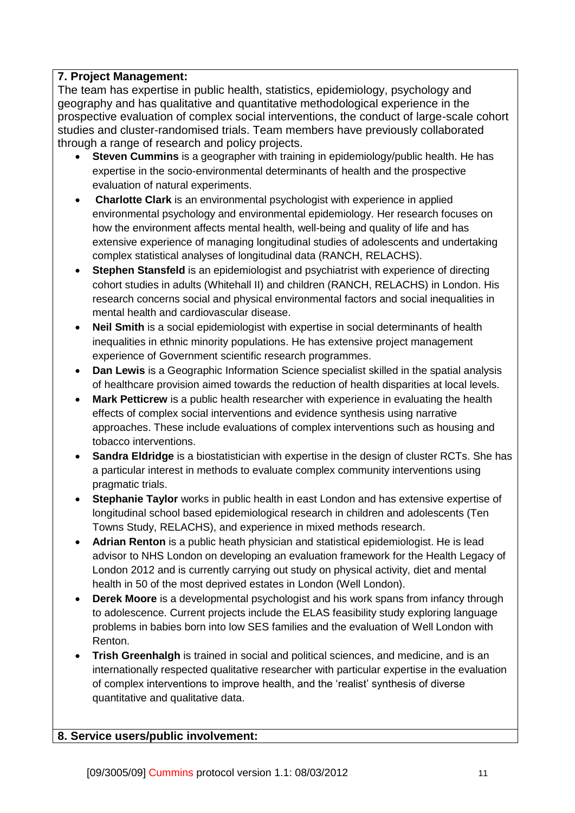# **7. Project Management:**

The team has expertise in public health, statistics, epidemiology, psychology and geography and has qualitative and quantitative methodological experience in the prospective evaluation of complex social interventions, the conduct of large-scale cohort studies and cluster-randomised trials. Team members have previously collaborated through a range of research and policy projects.

- **Steven Cummins** is a geographer with training in epidemiology/public health. He has expertise in the socio-environmental determinants of health and the prospective evaluation of natural experiments.
- **Charlotte Clark** is an environmental psychologist with experience in applied environmental psychology and environmental epidemiology. Her research focuses on how the environment affects mental health, well-being and quality of life and has extensive experience of managing longitudinal studies of adolescents and undertaking complex statistical analyses of longitudinal data (RANCH, RELACHS).
- **Stephen Stansfeld** is an epidemiologist and psychiatrist with experience of directing cohort studies in adults (Whitehall II) and children (RANCH, RELACHS) in London. His research concerns social and physical environmental factors and social inequalities in mental health and cardiovascular disease.
- **Neil Smith** is a social epidemiologist with expertise in social determinants of health inequalities in ethnic minority populations. He has extensive project management experience of Government scientific research programmes.
- **Dan Lewis** is a Geographic Information Science specialist skilled in the spatial analysis of healthcare provision aimed towards the reduction of health disparities at local levels.
- **Mark Petticrew** is a public health researcher with experience in evaluating the health effects of complex social interventions and evidence synthesis using narrative approaches. These include evaluations of complex interventions such as housing and tobacco interventions.
- **Sandra Eldridge** is a biostatistician with expertise in the design of cluster RCTs. She has a particular interest in methods to evaluate complex community interventions using pragmatic trials.
- **Stephanie Taylor** works in public health in east London and has extensive expertise of longitudinal school based epidemiological research in children and adolescents (Ten Towns Study, RELACHS), and experience in mixed methods research.
- **Adrian Renton** is a public heath physician and statistical epidemiologist. He is lead advisor to NHS London on developing an evaluation framework for the Health Legacy of London 2012 and is currently carrying out study on physical activity, diet and mental health in 50 of the most deprived estates in London (Well London).
- **Derek Moore** is a developmental psychologist and his work spans from infancy through to adolescence. Current projects include the ELAS feasibility study exploring language problems in babies born into low SES families and the evaluation of Well London with Renton.
- **Trish Greenhalgh** is trained in social and political sciences, and medicine, and is an internationally respected qualitative researcher with particular expertise in the evaluation of complex interventions to improve health, and the 'realist' synthesis of diverse quantitative and qualitative data.

### **8. Service users/public involvement:**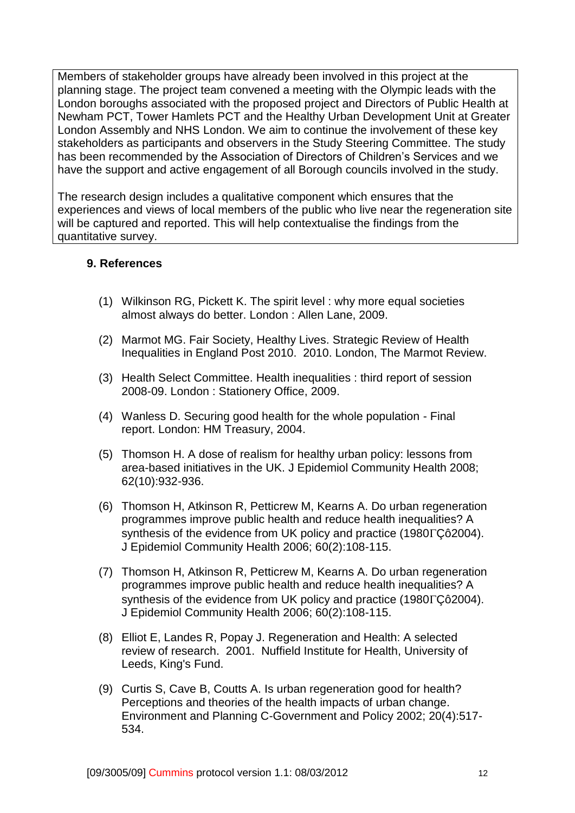Members of stakeholder groups have already been involved in this project at the planning stage. The project team convened a meeting with the Olympic leads with the London boroughs associated with the proposed project and Directors of Public Health at Newham PCT, Tower Hamlets PCT and the Healthy Urban Development Unit at Greater London Assembly and NHS London. We aim to continue the involvement of these key stakeholders as participants and observers in the Study Steering Committee. The study has been recommended by the Association of Directors of Children's Services and we have the support and active engagement of all Borough councils involved in the study.

The research design includes a qualitative component which ensures that the experiences and views of local members of the public who live near the regeneration site will be captured and reported. This will help contextualise the findings from the quantitative survey.

## **9. References**

- (1) Wilkinson RG, Pickett K. The spirit level : why more equal societies almost always do better. London : Allen Lane, 2009.
- (2) Marmot MG. Fair Society, Healthy Lives. Strategic Review of Health Inequalities in England Post 2010. 2010. London, The Marmot Review.
- (3) Health Select Committee. Health inequalities : third report of session 2008-09. London : Stationery Office, 2009.
- (4) Wanless D. Securing good health for the whole population Final report. London: HM Treasury, 2004.
- (5) Thomson H. A dose of realism for healthy urban policy: lessons from area-based initiatives in the UK. J Epidemiol Community Health 2008; 62(10):932-936.
- (6) Thomson H, Atkinson R, Petticrew M, Kearns A. Do urban regeneration programmes improve public health and reduce health inequalities? A synthesis of the evidence from UK policy and practice  $(1980\Gamma\text{C}^2004)$ . J Epidemiol Community Health 2006; 60(2):108-115.
- (7) Thomson H, Atkinson R, Petticrew M, Kearns A. Do urban regeneration programmes improve public health and reduce health inequalities? A synthesis of the evidence from UK policy and practice (1980 $\Gamma$ Cô2004). J Epidemiol Community Health 2006; 60(2):108-115.
- (8) Elliot E, Landes R, Popay J. Regeneration and Health: A selected review of research. 2001. Nuffield Institute for Health, University of Leeds, King's Fund.
- (9) Curtis S, Cave B, Coutts A. Is urban regeneration good for health? Perceptions and theories of the health impacts of urban change. Environment and Planning C-Government and Policy 2002; 20(4):517- 534.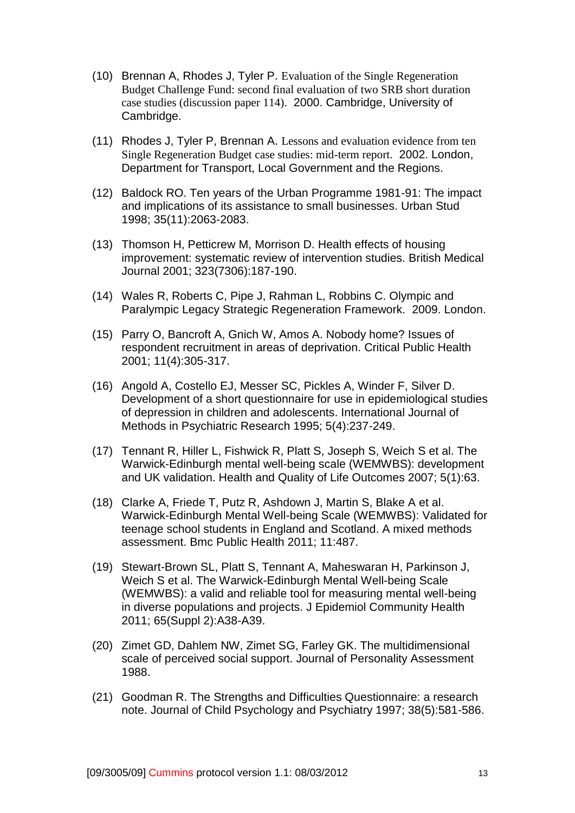- (10) Brennan A, Rhodes J, Tyler P. Evaluation of the Single Regeneration Budget Challenge Fund: second final evaluation of two SRB short duration case studies (discussion paper 114). 2000. Cambridge, University of Cambridge.
- (11) Rhodes J, Tyler P, Brennan A. Lessons and evaluation evidence from ten Single Regeneration Budget case studies: mid-term report. 2002. London, Department for Transport, Local Government and the Regions.
- (12) Baldock RO. Ten years of the Urban Programme 1981-91: The impact and implications of its assistance to small businesses. Urban Stud 1998; 35(11):2063-2083.
- (13) Thomson H, Petticrew M, Morrison D. Health effects of housing improvement: systematic review of intervention studies. British Medical Journal 2001; 323(7306):187-190.
- (14) Wales R, Roberts C, Pipe J, Rahman L, Robbins C. Olympic and Paralympic Legacy Strategic Regeneration Framework. 2009. London.
- (15) Parry O, Bancroft A, Gnich W, Amos A. Nobody home? Issues of respondent recruitment in areas of deprivation. Critical Public Health 2001; 11(4):305-317.
- (16) Angold A, Costello EJ, Messer SC, Pickles A, Winder F, Silver D. Development of a short questionnaire for use in epidemiological studies of depression in children and adolescents. International Journal of Methods in Psychiatric Research 1995; 5(4):237-249.
- (17) Tennant R, Hiller L, Fishwick R, Platt S, Joseph S, Weich S et al. The Warwick-Edinburgh mental well-being scale (WEMWBS): development and UK validation. Health and Quality of Life Outcomes 2007; 5(1):63.
- (18) Clarke A, Friede T, Putz R, Ashdown J, Martin S, Blake A et al. Warwick-Edinburgh Mental Well-being Scale (WEMWBS): Validated for teenage school students in England and Scotland. A mixed methods assessment. Bmc Public Health 2011; 11:487.
- (19) Stewart-Brown SL, Platt S, Tennant A, Maheswaran H, Parkinson J, Weich S et al. The Warwick-Edinburgh Mental Well-being Scale (WEMWBS): a valid and reliable tool for measuring mental well-being in diverse populations and projects. J Epidemiol Community Health 2011; 65(Suppl 2):A38-A39.
- (20) Zimet GD, Dahlem NW, Zimet SG, Farley GK. The multidimensional scale of perceived social support. Journal of Personality Assessment 1988.
- (21) Goodman R. The Strengths and Difficulties Questionnaire: a research note. Journal of Child Psychology and Psychiatry 1997; 38(5):581-586.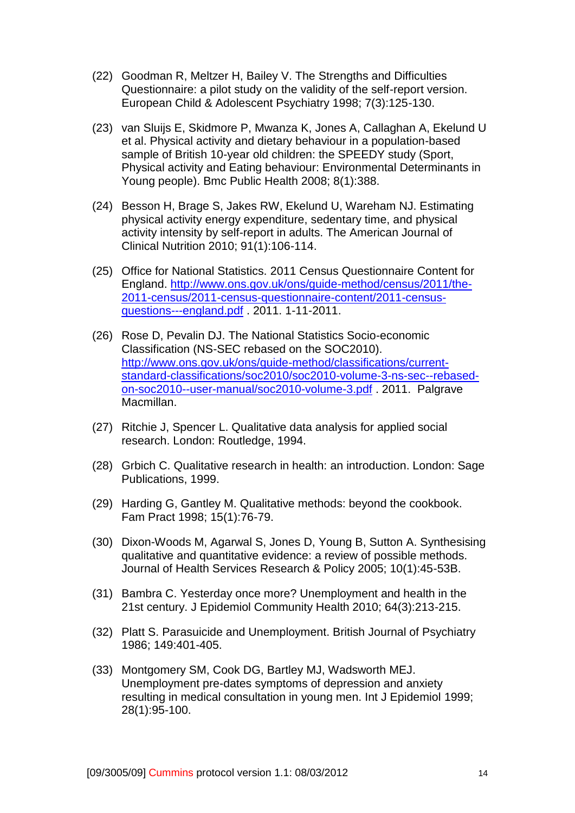- (22) Goodman R, Meltzer H, Bailey V. The Strengths and Difficulties Questionnaire: a pilot study on the validity of the self-report version. European Child & Adolescent Psychiatry 1998; 7(3):125-130.
- (23) van Sluijs E, Skidmore P, Mwanza K, Jones A, Callaghan A, Ekelund U et al. Physical activity and dietary behaviour in a population-based sample of British 10-year old children: the SPEEDY study (Sport, Physical activity and Eating behaviour: Environmental Determinants in Young people). Bmc Public Health 2008; 8(1):388.
- (24) Besson H, Brage S, Jakes RW, Ekelund U, Wareham NJ. Estimating physical activity energy expenditure, sedentary time, and physical activity intensity by self-report in adults. The American Journal of Clinical Nutrition 2010; 91(1):106-114.
- (25) Office for National Statistics. 2011 Census Questionnaire Content for England. [http://www.ons.gov.uk/ons/guide-method/census/2011/the-](http://www.ons.gov.uk/ons/guide-method/census/2011/the-2011-census/2011-census-questionnaire-content/2011-census-questions---england.pdf)[2011-census/2011-census-questionnaire-content/2011-census](http://www.ons.gov.uk/ons/guide-method/census/2011/the-2011-census/2011-census-questionnaire-content/2011-census-questions---england.pdf)[questions---england.pdf](http://www.ons.gov.uk/ons/guide-method/census/2011/the-2011-census/2011-census-questionnaire-content/2011-census-questions---england.pdf) . 2011. 1-11-2011.
- (26) Rose D, Pevalin DJ. The National Statistics Socio-economic Classification (NS-SEC rebased on the SOC2010). [http://www.ons.gov.uk/ons/guide-method/classifications/current](http://www.ons.gov.uk/ons/guide-method/classifications/current-standard-classifications/soc2010/soc2010-volume-3-ns-sec--rebased-on-soc2010--user-manual/soc2010-volume-3.pdf)[standard-classifications/soc2010/soc2010-volume-3-ns-sec--rebased](http://www.ons.gov.uk/ons/guide-method/classifications/current-standard-classifications/soc2010/soc2010-volume-3-ns-sec--rebased-on-soc2010--user-manual/soc2010-volume-3.pdf)[on-soc2010--user-manual/soc2010-volume-3.pdf](http://www.ons.gov.uk/ons/guide-method/classifications/current-standard-classifications/soc2010/soc2010-volume-3-ns-sec--rebased-on-soc2010--user-manual/soc2010-volume-3.pdf) . 2011. Palgrave Macmillan.
- (27) Ritchie J, Spencer L. Qualitative data analysis for applied social research. London: Routledge, 1994.
- (28) Grbich C. Qualitative research in health: an introduction. London: Sage Publications, 1999.
- (29) Harding G, Gantley M. Qualitative methods: beyond the cookbook. Fam Pract 1998; 15(1):76-79.
- (30) Dixon-Woods M, Agarwal S, Jones D, Young B, Sutton A. Synthesising qualitative and quantitative evidence: a review of possible methods. Journal of Health Services Research & Policy 2005; 10(1):45-53B.
- (31) Bambra C. Yesterday once more? Unemployment and health in the 21st century. J Epidemiol Community Health 2010; 64(3):213-215.
- (32) Platt S. Parasuicide and Unemployment. British Journal of Psychiatry 1986; 149:401-405.
- (33) Montgomery SM, Cook DG, Bartley MJ, Wadsworth MEJ. Unemployment pre-dates symptoms of depression and anxiety resulting in medical consultation in young men. Int J Epidemiol 1999; 28(1):95-100.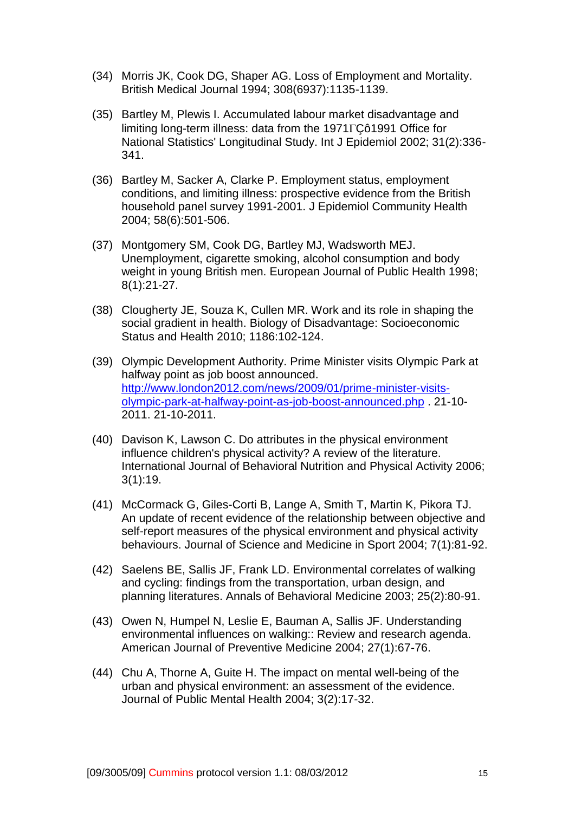- (34) Morris JK, Cook DG, Shaper AG. Loss of Employment and Mortality. British Medical Journal 1994; 308(6937):1135-1139.
- (35) Bartley M, Plewis I. Accumulated labour market disadvantage and limiting long-term illness: data from the 1971<sub> $\Gamma$ Cô1991 Office for</sub> National Statistics' Longitudinal Study. Int J Epidemiol 2002; 31(2):336- 341.
- (36) Bartley M, Sacker A, Clarke P. Employment status, employment conditions, and limiting illness: prospective evidence from the British household panel survey 1991-2001. J Epidemiol Community Health 2004; 58(6):501-506.
- (37) Montgomery SM, Cook DG, Bartley MJ, Wadsworth MEJ. Unemployment, cigarette smoking, alcohol consumption and body weight in young British men. European Journal of Public Health 1998; 8(1):21-27.
- (38) Clougherty JE, Souza K, Cullen MR. Work and its role in shaping the social gradient in health. Biology of Disadvantage: Socioeconomic Status and Health 2010; 1186:102-124.
- (39) Olympic Development Authority. Prime Minister visits Olympic Park at halfway point as job boost announced. [http://www.london2012.com/news/2009/01/prime-minister-visits](http://www.london2012.com/news/2009/01/prime-minister-visits-olympic-park-at-halfway-point-as-job-boost-announced.php)[olympic-park-at-halfway-point-as-job-boost-announced.php](http://www.london2012.com/news/2009/01/prime-minister-visits-olympic-park-at-halfway-point-as-job-boost-announced.php) . 21-10- 2011. 21-10-2011.
- (40) Davison K, Lawson C. Do attributes in the physical environment influence children's physical activity? A review of the literature. International Journal of Behavioral Nutrition and Physical Activity 2006; 3(1):19.
- (41) McCormack G, Giles-Corti B, Lange A, Smith T, Martin K, Pikora TJ. An update of recent evidence of the relationship between objective and self-report measures of the physical environment and physical activity behaviours. Journal of Science and Medicine in Sport 2004; 7(1):81-92.
- (42) Saelens BE, Sallis JF, Frank LD. Environmental correlates of walking and cycling: findings from the transportation, urban design, and planning literatures. Annals of Behavioral Medicine 2003; 25(2):80-91.
- (43) Owen N, Humpel N, Leslie E, Bauman A, Sallis JF. Understanding environmental influences on walking:: Review and research agenda. American Journal of Preventive Medicine 2004; 27(1):67-76.
- (44) Chu A, Thorne A, Guite H. The impact on mental well-being of the urban and physical environment: an assessment of the evidence. Journal of Public Mental Health 2004; 3(2):17-32.